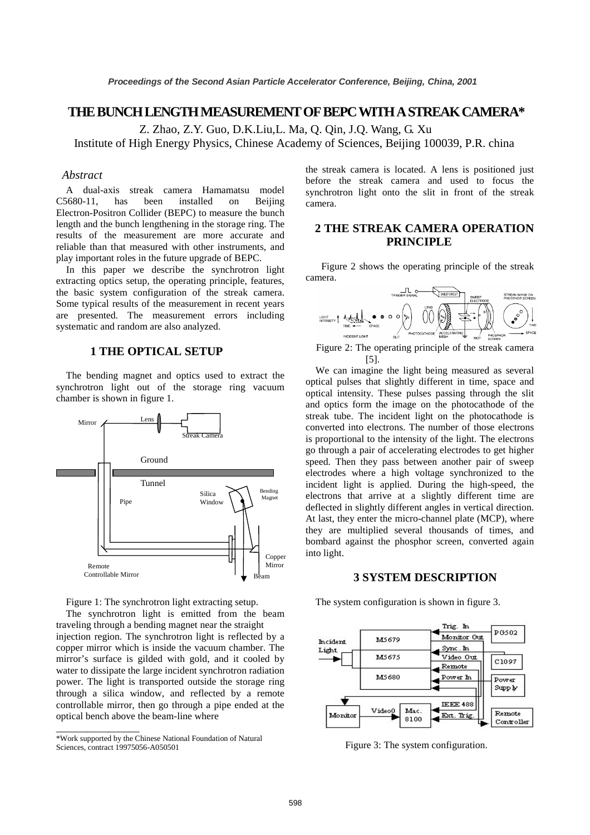# **THE BUNCH LENGTH MEASUREMENT OF BEPC WITH ASTREAK CAMERA\***

Z. Zhao, Z.Y. Guo, D.K.Liu,L. Ma, Q. Qin, J.Q. Wang, G. Xu Institute of High Energy Physics, Chinese Academy of Sciences, Beijing 100039, P.R. china

#### *Abstract*

A dual-axis streak camera Hamamatsu model C5680-11, has been installed on Beijing Electron-Positron Collider (BEPC) to measure the bunch length and the bunch lengthening in the storage ring. The results of the measurement are more accurate and reliable than that measured with other instruments, and play important roles in the future upgrade of BEPC.

 In this paper we describe the synchrotron light extracting optics setup, the operating principle, features, the basic system configuration of the streak camera. Some typical results of the measurement in recent years are presented. The measurement errors including systematic and random are also analyzed.

## **1 THE OPTICAL SETUP**

The bending magnet and optics used to extract the synchrotron light out of the storage ring vacuum chamber is shown in figure 1.





The synchrotron light is emitted from the beam traveling through a bending magnet near the straight injection region. The synchrotron light is reflected by a copper mirror which is inside the vacuum chamber. The mirror's surface is gilded with gold, and it cooled by water to dissipate the large incident synchrotron radiation power. The light is transported outside the storage ring through a silica window, and reflected by a remote controllable mirror, then go through a pipe ended at the optical bench above the beam-line where

 $\overline{\phantom{a}}$  , where the contract of  $\overline{\phantom{a}}$ 

the streak camera is located. A lens is positioned just before the streak camera and used to focus the synchrotron light onto the slit in front of the streak camera.

## **2 THE STREAK CAMERA OPERATION PRINCIPLE**

Figure 2 shows the operating principle of the streak camera.



Figure 2: The operating principle of the streak camera [5].

We can imagine the light being measured as several optical pulses that slightly different in time, space and optical intensity. These pulses passing through the slit and optics form the image on the photocathode of the streak tube. The incident light on the photocathode is converted into electrons. The number of those electrons is proportional to the intensity of the light. The electrons go through a pair of accelerating electrodes to get higher speed. Then they pass between another pair of sweep electrodes where a high voltage synchronized to the incident light is applied. During the high-speed, the electrons that arrive at a slightly different time are deflected in slightly different angles in vertical direction. At last, they enter the micro-channel plate (MCP), where they are multiplied several thousands of times, and bombard against the phosphor screen, converted again into light.

### **3 SYSTEM DESCRIPTION**

The system configuration is shown in figure 3.



Figure 3: The system configuration.

<sup>\*</sup>Work supported by the Chinese National Foundation of Natural Sciences, contract 19975056-A050501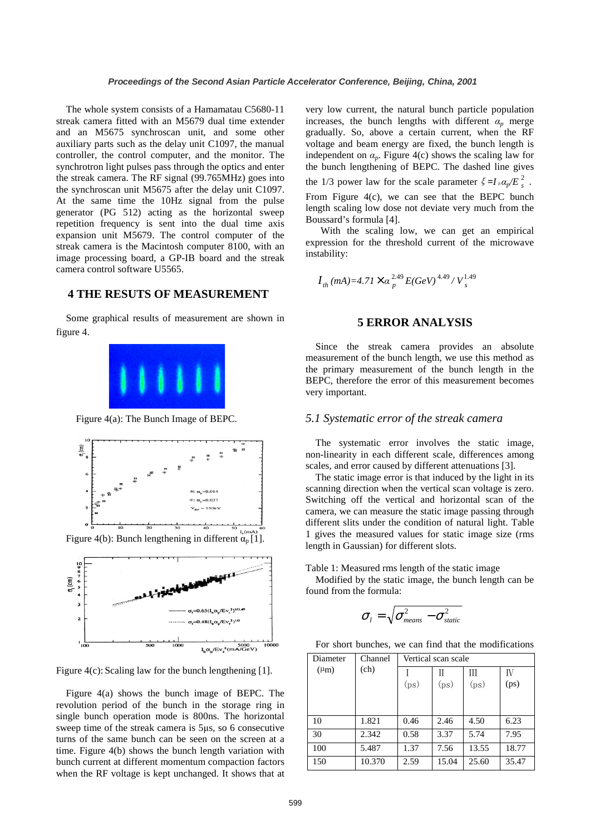The whole system consists of a Hamamatau C5680-11 streak camera fitted with an M5679 dual time extender and an M5675 synchroscan unit, and some other auxiliary parts such as the delay unit C1097, the manual controller, the control computer, and the monitor. The synchrotron light pulses pass through the optics and enter the streak camera. The RF signal (99.765MHz) goes into the synchroscan unit M5675 after the delay unit C1097. At the same time the 10Hz signal from the pulse generator (PG 512) acting as the horizontal sweep repetition frequency is sent into the dual time axis expansion unit M5679. The control computer of the streak camera is the Macintosh computer 8100, with an image processing board, a GP-IB board and the streak camera control software U5565.

# **4 THE RESUTS OF MEASUREMENT**

Some graphical results of measurement are shown in figure 4.



Figure 4(a): The Bunch Image of BEPC.



Figure 4(b): Bunch lengthening in different  $\alpha_p[1]$ .



Figure 4(c): Scaling law for the bunch lengthening [1].

Figure 4(a) shows the bunch image of BEPC. The revolution period of the bunch in the storage ring in single bunch operation mode is 800ns. The horizontal sweep time of the streak camera is 5µs, so 6 consecutive turns of the same bunch can be seen on the screen at a time. Figure 4(b) shows the bunch length variation with bunch current at different momentum compaction factors when the RF voltage is kept unchanged. It shows that at

very low current, the natural bunch particle population increases, the bunch lengths with different  $\alpha_p$  merge gradually. So, above a certain current, when the RF voltage and beam energy are fixed, the bunch length is independent on  $\alpha_p$ . Figure 4(c) shows the scaling law for the bunch lengthening of BEPC. The dashed line gives the 1/3 power law for the scale parameter  $\xi = I_b \alpha_p / E_s^2$ . From Figure 4(c), we can see that the BEPC bunch length scaling low dose not deviate very much from the Boussard's formula [4].

 With the scaling low, we can get an empirical expression for the threshold current of the microwave instability:

$$
I_{th}(mA)=4.71\times\alpha_p^{2.49}E(GeV)^{4.49}/V_s^{1.49}
$$

### **5 ERROR ANALYSIS**

Since the streak camera provides an absolute measurement of the bunch length, we use this method as the primary measurement of the bunch length in the BEPC, therefore the error of this measurement becomes very important.

#### *5.1 Systematic error of the streak camera*

The systematic error involves the static image, non-linearity in each different scale, differences among scales, and error caused by different attenuations [3].

 The static image error is that induced by the light in its scanning direction when the vertical scan voltage is zero. Switching off the vertical and horizontal scan of the camera, we can measure the static image passing through different slits under the condition of natural light. Table 1 gives the measured values for static image size (rms length in Gaussian) for different slots.

Table 1: Measured rms length of the static image

Modified by the static image, the bunch length can be found from the formula:

$$
\sigma_{\scriptscriptstyle l} = \sqrt{\sigma_{\scriptscriptstyle means}^2 - \sigma_{\scriptscriptstyle static}^2}
$$

For short bunches, we can find that the modifications

| Diameter  | Channel<br>(ch) | Vertical scan scale |       |       |       |
|-----------|-----------------|---------------------|-------|-------|-------|
| $(\mu m)$ |                 |                     | Н     | Ш     | IV    |
|           |                 | (ps)                | (ps)  | (ps)  | (ps)  |
|           |                 |                     |       |       |       |
|           |                 |                     |       |       |       |
| 10        | 1.821           | 0.46                | 2.46  | 4.50  | 6.23  |
| 30        | 2.342           | 0.58                | 3.37  | 5.74  | 7.95  |
| 100       | 5.487           | 1.37                | 7.56  | 13.55 | 18.77 |
| 150       | 10.370          | 2.59                | 15.04 | 25.60 | 35.47 |